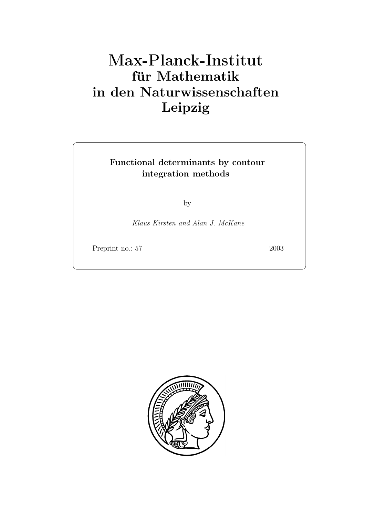# **für Mathematik in den Naturwissenschaften Leipzig**

### **Functional determinants by contour integration methods**

by

*Klaus Kirsten and Alan J. McKane*

Preprint no.: 57 2003

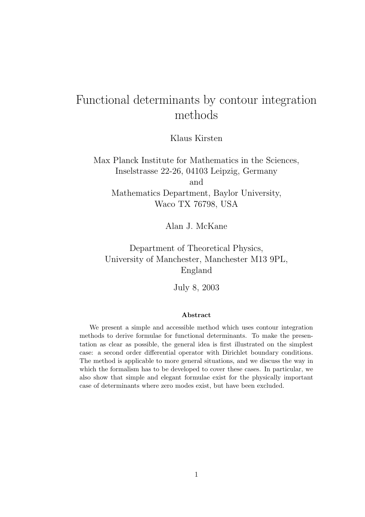## Functional determinants by contour integration methods

Klaus Kirsten

Max Planck Institute for Mathematics in the Sciences, Inselstrasse 22-26, 04103 Leipzig, Germany and Mathematics Department, Baylor University, Waco TX 76798, USA

Alan J. McKane

Department of Theoretical Physics, University of Manchester, Manchester M13 9PL, England

July 8, 2003

#### **Abstract**

We present a simple and accessible method which uses contour integration methods to derive formulae for functional determinants. To make the presentation as clear as possible, the general idea is first illustrated on the simplest case: a second order differential operator with Dirichlet boundary conditions. The method is applicable to more general situations, and we discuss the way in which the formalism has to be developed to cover these cases. In particular, we also show that simple and elegant formulae exist for the physically important case of determinants where zero modes exist, but have been excluded.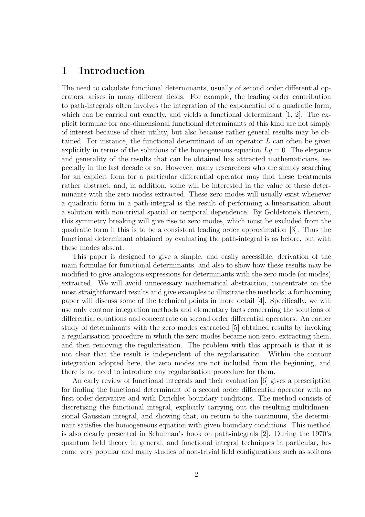#### **1 Introduction**

The need to calculate functional determinants, usually of second order differential operators, arises in many different fields. For example, the leading order contribution to path-integrals often involves the integration of the exponential of a quadratic form, which can be carried out exactly, and yields a functional determinant  $[1, 2]$ . The explicit formulae for one-dimensional functional determinants of this kind are not simply of interest because of their utility, but also because rather general results may be obtained. For instance, the functional determinant of an operator L can often be given explicitly in terms of the solutions of the homogeneous equation  $Ly = 0$ . The elegance and generality of the results that can be obtained has attracted mathematicians, especially in the last decade or so. However, many researchers who are simply searching for an explicit form for a particular differential operator may find these treatments rather abstract, and, in addition, some will be interested in the value of these determinants with the zero modes extracted. These zero modes will usually exist whenever a quadratic form in a path-integral is the result of performing a linearisation about a solution with non-trivial spatial or temporal dependence. By Goldstone's theorem, this symmetry breaking will give rise to zero modes, which must be excluded from the quadratic form if this is to be a consistent leading order approximation [3]. Thus the functional determinant obtained by evaluating the path-integral is as before, but with these modes absent.

This paper is designed to give a simple, and easily accessible, derivation of the main formulae for functional determinants, and also to show how these results may be modified to give analogous expressions for determinants with the zero mode (or modes) extracted. We will avoid unnecessary mathematical abstraction, concentrate on the most straightforward results and give examples to illustrate the methods; a forthcoming paper will discuss some of the technical points in more detail [4]. Specifically, we will use only contour integration methods and elementary facts concerning the solutions of differential equations and concentrate on second order differential operators. An earlier study of determinants with the zero modes extracted [5] obtained results by invoking a regularisation procedure in which the zero modes became non-zero, extracting them, and then removing the regularisation. The problem with this approach is that it is not clear that the result is independent of the regularisation. Within the contour integration adopted here, the zero modes are not included from the beginning, and there is no need to introduce any regularisation procedure for them.

An early review of functional integrals and their evaluation [6] gives a prescription for finding the functional determinant of a second order differential operator with no first order derivative and with Dirichlet boundary conditions. The method consists of discretising the functional integral, explicitly carrying out the resulting multidimensional Gaussian integral, and showing that, on return to the continuum, the determinant satisfies the homogeneous equation with given boundary conditions. This method is also clearly presented in Schulman's book on path-integrals [2]. During the 1970's quantum field theory in general, and functional integral techniques in particular, became very popular and many studies of non-trivial field configurations such as solitons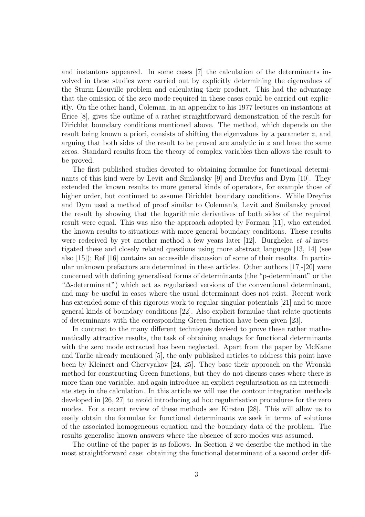and instantons appeared. In some cases [7] the calculation of the determinants involved in these studies were carried out by explicitly determining the eigenvalues of the Sturm-Liouville problem and calculating their product. This had the advantage that the omission of the zero mode required in these cases could be carried out explicitly. On the other hand, Coleman, in an appendix to his 1977 lectures on instantons at Erice [8], gives the outline of a rather straightforward demonstration of the result for Dirichlet boundary conditions mentioned above. The method, which depends on the result being known a priori, consists of shifting the eigenvalues by a parameter  $z$ , and arguing that both sides of the result to be proved are analytic in  $z$  and have the same zeros. Standard results from the theory of complex variables then allows the result to be proved.

The first published studies devoted to obtaining formulae for functional determinants of this kind were by Levit and Smilansky [9] and Dreyfus and Dym [10]. They extended the known results to more general kinds of operators, for example those of higher order, but continued to assume Dirichlet boundary conditions. While Dreyfus and Dym used a method of proof similar to Coleman's, Levit and Smilansky proved the result by showing that the logarithmic derivatives of both sides of the required result were equal. This was also the approach adopted by Forman [11], who extended the known results to situations with more general boundary conditions. These results were rederived by yet another method a few years later [12]. Burghelea *et al* investigated these and closely related questions using more abstract language [13, 14] (see also [15]); Ref [16] contains an accessible discussion of some of their results. In particular unknown prefactors are determined in these articles. Other authors [17]-[20] were concerned with defining generalised forms of determinants (the "p-determinant" or the "∆-determinant") which act as regularised versions of the conventional determinant, and may be useful in cases where the usual determinant does not exist. Recent work has extended some of this rigorous work to regular singular potentials [21] and to more general kinds of boundary conditions [22]. Also explicit formulae that relate quotients of determinants with the corresponding Green function have been given [23].

In contrast to the many different techniques devised to prove these rather mathematically attractive results, the task of obtaining analogs for functional determinants with the zero mode extracted has been neglected. Apart from the paper by McKane and Tarlie already mentioned [5], the only published articles to address this point have been by Kleinert and Chervyakov [24, 25]. They base their approach on the Wronski method for constructing Green functions, but they do not discuss cases where there is more than one variable, and again introduce an explicit regularisation as an intermediate step in the calculation. In this article we will use the contour integration methods developed in [26, 27] to avoid introducing ad hoc regularisation procedures for the zero modes. For a recent review of these methods see Kirsten [28]. This will allow us to easily obtain the formulae for functional determinants we seek in terms of solutions of the associated homogeneous equation and the boundary data of the problem. The results generalise known answers where the absence of zero modes was assumed.

The outline of the paper is as follows. In Section 2 we describe the method in the most straightforward case: obtaining the functional determinant of a second order dif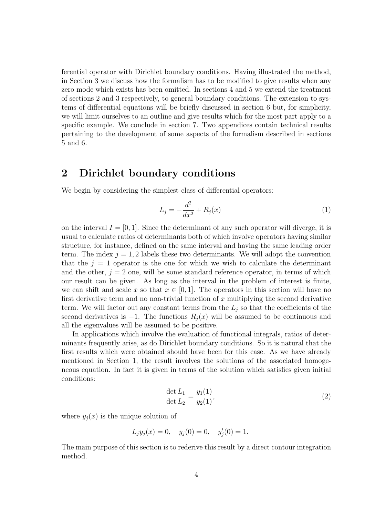ferential operator with Dirichlet boundary conditions. Having illustrated the method, in Section 3 we discuss how the formalism has to be modified to give results when any zero mode which exists has been omitted. In sections 4 and 5 we extend the treatment of sections 2 and 3 respectively, to general boundary conditions. The extension to systems of differential equations will be briefly discussed in section 6 but, for simplicity, we will limit ourselves to an outline and give results which for the most part apply to a specific example. We conclude in section 7. Two appendices contain technical results pertaining to the development of some aspects of the formalism described in sections 5 and 6.

#### **2 Dirichlet boundary conditions**

We begin by considering the simplest class of differential operators:

$$
L_j = -\frac{d^2}{dx^2} + R_j(x)
$$
 (1)

on the interval  $I = [0, 1]$ . Since the determinant of any such operator will diverge, it is usual to calculate ratios of determinants both of which involve operators having similar structure, for instance, defined on the same interval and having the same leading order term. The index  $j = 1, 2$  labels these two determinants. We will adopt the convention that the  $j = 1$  operator is the one for which we wish to calculate the determinant and the other,  $j = 2$  one, will be some standard reference operator, in terms of which our result can be given. As long as the interval in the problem of interest is finite, we can shift and scale x so that  $x \in [0, 1]$ . The operators in this section will have no first derivative term and no non-trivial function of  $x$  multiplying the second derivative term. We will factor out any constant terms from the  $L_j$  so that the coefficients of the second derivatives is  $-1$ . The functions  $R_j(x)$  will be assumed to be continuous and all the eigenvalues will be assumed to be positive.

In applications which involve the evaluation of functional integrals, ratios of determinants frequently arise, as do Dirichlet boundary conditions. So it is natural that the first results which were obtained should have been for this case. As we have already mentioned in Section 1, the result involves the solutions of the associated homogeneous equation. In fact it is given in terms of the solution which satisfies given initial conditions:

$$
\frac{\det L_1}{\det L_2} = \frac{y_1(1)}{y_2(1)},\tag{2}
$$

where  $y_i(x)$  is the unique solution of

$$
L_j y_j(x) = 0
$$
,  $y_j(0) = 0$ ,  $y'_j(0) = 1$ .

The main purpose of this section is to rederive this result by a direct contour integration method.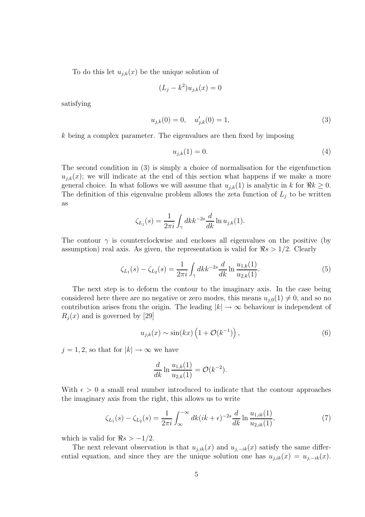To do this let  $u_{j,k}(x)$  be the unique solution of

$$
(L_j - k^2)u_{j,k}(x) = 0
$$

satisfying

$$
u_{j,k}(0) = 0, \quad u'_{j,k}(0) = 1,\tag{3}
$$

k being a complex parameter. The eigenvalues are then fixed by imposing

$$
u_{j,k}(1) = 0.\t\t(4)
$$

The second condition in (3) is simply a choice of normalisation for the eigenfunction  $u_{j,k}(x)$ ; we will indicate at the end of this section what happens if we make a more general choice. In what follows we will assume that  $u_{j,k}(1)$  is analytic in k for  $\Re k \geq 0$ . The definition of this eigenvalue problem allows the zeta function of  $L_j$  to be written as

$$
\zeta_{L_j}(s) = \frac{1}{2\pi i} \int_{\gamma} dk k^{-2s} \frac{d}{dk} \ln u_{j,k}(1).
$$

The contour  $\gamma$  is counterclockwise and encloses all eigenvalues on the positive (by assumption) real axis. As given, the representation is valid for  $\Re s > 1/2$ . Clearly

$$
\zeta_{L_1}(s) - \zeta_{L_2}(s) = \frac{1}{2\pi i} \int_{\gamma} dk k^{-2s} \frac{d}{dk} \ln \frac{u_{1,k}(1)}{u_{2,k}(1)}.
$$
\n(5)

The next step is to deform the contour to the imaginary axis. In the case being considered here there are no negative or zero modes, this means  $u_{i,0}(1) \neq 0$ , and so no contribution arises from the origin. The leading  $|k| \to \infty$  behaviour is independent of  $R_i(x)$  and is governed by [29]

$$
u_{j,k}(x) \sim \sin(kx) \left(1 + \mathcal{O}(k^{-1})\right),\tag{6}
$$

 $j = 1, 2$ , so that for  $|k| \to \infty$  we have

$$
\frac{d}{dk} \ln \frac{u_{1,k}(1)}{u_{2,k}(1)} = \mathcal{O}(k^{-2}).
$$

With  $\epsilon > 0$  a small real number introduced to indicate that the contour approaches the imaginary axis from the right, this allows us to write

$$
\zeta_{L_1}(s) - \zeta_{L_2}(s) = \frac{1}{2\pi i} \int_{-\infty}^{\infty} dk (ik + \epsilon)^{-2s} \frac{d}{dk} \ln \frac{u_{1,ik}(1)}{u_{2,ik}(1)},\tag{7}
$$

which is valid for  $\Re s > -1/2$ .

The next relevant observation is that  $u_{j,ik}(x)$  and  $u_{j,-ik}(x)$  satisfy the same differential equation, and since they are the unique solution one has  $u_{j,ik}(x) = u_{j,-ik}(x)$ .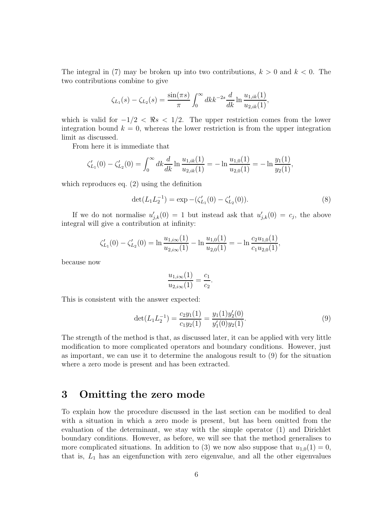The integral in (7) may be broken up into two contributions,  $k > 0$  and  $k < 0$ . The two contributions combine to give

$$
\zeta_{L_1}(s) - \zeta_{L_2}(s) = \frac{\sin(\pi s)}{\pi} \int_0^\infty dk \, k^{-2s} \frac{d}{dk} \ln \frac{u_{1,ik}(1)}{u_{2,ik}(1)},
$$

which is valid for  $-1/2 < \Re s < 1/2$ . The upper restriction comes from the lower integration bound  $k = 0$ , whereas the lower restriction is from the upper integration limit as discussed.

From here it is immediate that

$$
\zeta_{L_1}'(0) - \zeta_{L_2}'(0) = \int_0^\infty dk \frac{d}{dk} \ln \frac{u_{1,ik}(1)}{u_{2,ik}(1)} = -\ln \frac{u_{1,0}(1)}{u_{2,0}(1)} = -\ln \frac{y_1(1)}{y_2(1)},
$$

which reproduces eq. (2) using the definition

$$
\det(L_1 L_2^{-1}) = \exp - (\zeta'_{L_1}(0) - \zeta'_{L_2}(0)).\tag{8}
$$

If we do not normalise  $u'_{i,k}(0) = 1$  but instead ask that  $u'_{i,k}(0) = c_j$ , the above integral will give a contribution at infinity:

$$
\zeta_{L_1}'(0) - \zeta_{L_2}'(0) = \ln \frac{u_{1,i\infty}(1)}{u_{2,i\infty}(1)} - \ln \frac{u_{1,0}(1)}{u_{2,0}(1)} = -\ln \frac{c_2 u_{1,0}(1)}{c_1 u_{2,0}(1)},
$$

because now

$$
\frac{u_{1,i\infty}(1)}{u_{2,i\infty}(1)} = \frac{c_1}{c_2}
$$

.

This is consistent with the answer expected:

$$
\det(L_1 L_2^{-1}) = \frac{c_2 y_1(1)}{c_1 y_2(1)} = \frac{y_1(1) y_2'(0)}{y_1'(0) y_2(1)}.
$$
\n(9)

The strength of the method is that, as discussed later, it can be applied with very little modification to more complicated operators and boundary conditions. However, just as important, we can use it to determine the analogous result to (9) for the situation where a zero mode is present and has been extracted.

#### **3 Omitting the zero mode**

To explain how the procedure discussed in the last section can be modified to deal with a situation in which a zero mode is present, but has been omitted from the evaluation of the determinant, we stay with the simple operator (1) and Dirichlet boundary conditions. However, as before, we will see that the method generalises to more complicated situations. In addition to (3) we now also suppose that  $u_{1,0}(1) = 0$ , that is,  $L_1$  has an eigenfunction with zero eigenvalue, and all the other eigenvalues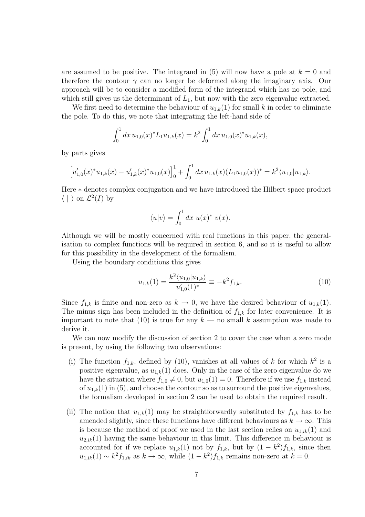are assumed to be positive. The integrand in (5) will now have a pole at  $k = 0$  and therefore the contour  $\gamma$  can no longer be deformed along the imaginary axis. Our approach will be to consider a modified form of the integrand which has no pole, and which still gives us the determinant of  $L_1$ , but now with the zero eigenvalue extracted.

We first need to determine the behaviour of  $u_{1,k}(1)$  for small k in order to eliminate the pole. To do this, we note that integrating the left-hand side of

$$
\int_0^1 dx \, u_{1,0}(x)^* L_1 u_{1,k}(x) = k^2 \int_0^1 dx \, u_{1,0}(x)^* u_{1,k}(x),
$$

by parts gives

$$
\left[u'_{1,0}(x)^*u_{1,k}(x) - u'_{1,k}(x)^*u_{1,0}(x)\right]_0^1 + \int_0^1 dx \, u_{1,k}(x) (L_1 u_{1,0}(x))^* = k^2 \langle u_{1,0} | u_{1,k} \rangle.
$$

Here ∗ denotes complex conjugation and we have introduced the Hilbert space product  $\langle \ | \ \rangle$  on  $\mathcal{L}^2(I)$  by

$$
\langle u|v\rangle = \int_0^1 dx \ u(x)^* \ v(x).
$$

Although we will be mostly concerned with real functions in this paper, the generalisation to complex functions will be required in section 6, and so it is useful to allow for this possibility in the development of the formalism.

Using the boundary conditions this gives

$$
u_{1,k}(1) = \frac{k^2 \langle u_{1,0} | u_{1,k} \rangle}{u'_{1,0}(1)^*} \equiv -k^2 f_{1,k}.
$$
\n(10)

Since  $f_{1,k}$  is finite and non-zero as  $k \to 0$ , we have the desired behaviour of  $u_{1,k}(1)$ . The minus sign has been included in the definition of  $f_{1,k}$  for later convenience. It is important to note that (10) is true for any  $k$  — no small k assumption was made to derive it.

We can now modify the discussion of section 2 to cover the case when a zero mode is present, by using the following two observations:

- (i) The function  $f_{1,k}$ , defined by (10), vanishes at all values of k for which  $k^2$  is a positive eigenvalue, as  $u_{1,k}(1)$  does. Only in the case of the zero eigenvalue do we have the situation where  $f_{1,0} \neq 0$ , but  $u_{1,0}(1) = 0$ . Therefore if we use  $f_{1,k}$  instead of  $u_{1,k}(1)$  in (5), and choose the contour so as to surround the positive eigenvalues, the formalism developed in section 2 can be used to obtain the required result.
- (ii) The notion that  $u_{1,k}(1)$  may be straightforwardly substituted by  $f_{1,k}$  has to be amended slightly, since these functions have different behaviours as  $k \to \infty$ . This is because the method of proof we used in the last section relies on  $u_{1,ik}(1)$  and  $u_{2,ik}(1)$  having the same behaviour in this limit. This difference in behaviour is accounted for if we replace  $u_{1,k}(1)$  not by  $f_{1,k}$ , but by  $(1 - k^2)f_{1,k}$ , since then  $u_{1,ik}(1) \sim k^2 f_{1,ik}$  as  $k \to \infty$ , while  $(1 - k^2) f_{1,k}$  remains non-zero at  $k = 0$ .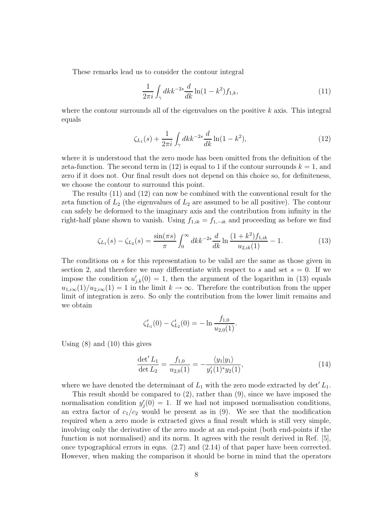These remarks lead us to consider the contour integral

$$
\frac{1}{2\pi i} \int_{\gamma} dk k^{-2s} \frac{d}{dk} \ln(1 - k^2) f_{1,k},\tag{11}
$$

where the contour surrounds all of the eigenvalues on the positive  $k$  axis. This integral equals

$$
\zeta_{L_1}(s) + \frac{1}{2\pi i} \int_{\gamma} dk k^{-2s} \frac{d}{dk} \ln(1 - k^2),\tag{12}
$$

where it is understood that the zero mode has been omitted from the definition of the zeta-function. The second term in (12) is equal to 1 if the contour surrounds  $k = 1$ , and zero if it does not. Our final result does not depend on this choice so, for definiteness, we choose the contour to surround this point.

The results (11) and (12) can now be combined with the conventional result for the zeta function of  $L_2$  (the eigenvalues of  $L_2$  are assumed to be all positive). The contour can safely be deformed to the imaginary axis and the contribution from infinity in the right-half plane shown to vanish. Using  $f_{1,ik} = f_{1,-ik}$  and proceeding as before we find

$$
\zeta_{L_1}(s) - \zeta_{L_2}(s) = \frac{\sin(\pi s)}{\pi} \int_0^\infty dk \, k^{-2s} \frac{d}{dk} \ln \frac{(1+k^2) f_{1,ik}}{u_{2,ik}(1)} - 1. \tag{13}
$$

The conditions on s for this representation to be valid are the same as those given in section 2, and therefore we may differentiate with respect to s and set  $s = 0$ . If we impose the condition  $u'_{i,k}(0) = 1$ , then the argument of the logarithm in (13) equals  $u_{1,i\infty}(1)/u_{2,i\infty}(1) = 1$  in the limit  $k \to \infty$ . Therefore the contribution from the upper limit of integration is zero. So only the contribution from the lower limit remains and we obtain

$$
\zeta_{L_1}'(0) - \zeta_{L_2}'(0) = -\ln \frac{f_{1,0}}{u_{2,0}(1)}.
$$

Using (8) and (10) this gives

$$
\frac{\det' L_1}{\det L_2} = \frac{f_{1,0}}{u_{2,0}(1)} = -\frac{\langle y_1 | y_1 \rangle}{y_1'(1)^* y_2(1)},\tag{14}
$$

where we have denoted the determinant of  $L_1$  with the zero mode extracted by det'  $L_1$ .

This result should be compared to (2), rather than (9), since we have imposed the normalisation condition  $y_i'(0) = 1$ . If we had not imposed normalisation conditions, an extra factor of  $c_1/c_2$  would be present as in (9). We see that the modification required when a zero mode is extracted gives a final result which is still very simple, involving only the derivative of the zero mode at an end-point (both end-points if the function is not normalised) and its norm. It agrees with the result derived in Ref. [5], once typographical errors in eqns. (2.7) and (2.14) of that paper have been corrected. However, when making the comparison it should be borne in mind that the operators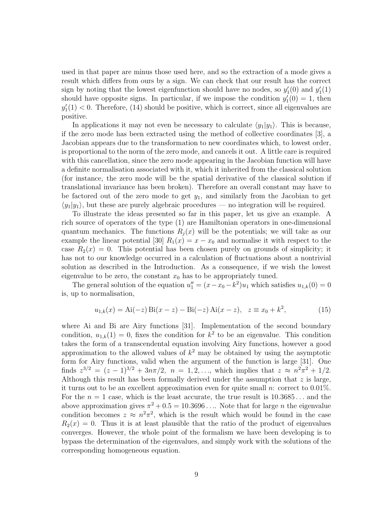used in that paper are minus those used here, and so the extraction of a mode gives a result which differs from ours by a sign. We can check that our result has the correct sign by noting that the lowest eigenfunction should have no nodes, so  $y_1'(0)$  and  $y_1'(1)$ should have opposite signs. In particular, if we impose the condition  $y_1'(0) = 1$ , then  $y_1'(1) < 0$ . Therefore, (14) should be positive, which is correct, since all eigenvalues are positive.

In applications it may not even be necessary to calculate  $\langle y_1|y_1\rangle$ . This is because, if the zero mode has been extracted using the method of collective coordinates [3], a Jacobian appears due to the transformation to new coordinates which, to lowest order, is proportional to the norm of the zero mode, and cancels it out. A little care is required with this cancellation, since the zero mode appearing in the Jacobian function will have a definite normalisation associated with it, which it inherited from the classical solution (for instance, the zero mode will be the spatial derivative of the classical solution if translational invariance has been broken). Therefore an overall constant may have to be factored out of the zero mode to get  $y_1$ , and similarly from the Jacobian to get  $\langle y_1|y_1\rangle$ , but these are purely algebraic procedures — no integration will be required.

To illustrate the ideas presented so far in this paper, let us give an example. A rich source of operators of the type (1) are Hamiltonian operators in one-dimensional quantum mechanics. The functions  $R_i(x)$  will be the potentials; we will take as our example the linear potential [30]  $R_1(x) = x - x_0$  and normalise it with respect to the case  $R_2(x) = 0$ . This potential has been chosen purely on grounds of simplicity; it has not to our knowledge occurred in a calculation of fluctuations about a nontrivial solution as described in the Introduction. As a consequence, if we wish the lowest eigenvalue to be zero, the constant  $x_0$  has to be appropriately tuned.

The general solution of the equation  $u''_1 = (x - x_0 - k^2)u_1$  which satisfies  $u_{1,k}(0) = 0$ is, up to normalisation,

$$
u_{1,k}(x) = Ai(-z) Bi(x - z) - Bi(-z) Ai(x - z), \quad z \equiv x_0 + k^2,
$$
 (15)

where Ai and Bi are Airy functions [31]. Implementation of the second boundary condition,  $u_{1,k}(1) = 0$ , fixes the condition for  $k^2$  to be an eigenvalue. This condition takes the form of a transcendental equation involving Airy functions, however a good approximation to the allowed values of  $k^2$  may be obtained by using the asymptotic form for Airy functions, valid when the argument of the function is large [31]. One finds  $z^{3/2} = (z - 1)^{3/2} + 3n\pi/2$ ,  $n = 1, 2, \ldots$ , which implies that  $z \approx n^2\pi^2 + 1/2$ . Although this result has been formally derived under the assumption that  $z$  is large, it turns out to be an excellent approximation even for quite small n: correct to  $0.01\%$ . For the  $n = 1$  case, which is the least accurate, the true result is  $10.3685...$  and the above approximation gives  $\pi^2 + 0.5 = 10.3696...$  Note that for large *n* the eigenvalue condition becomes  $z \approx n^2 \pi^2$ , which is the result which would be found in the case  $R_2(x) = 0$ . Thus it is at least plausible that the ratio of the product of eigenvalues converges. However, the whole point of the formalism we have been developing is to bypass the determination of the eigenvalues, and simply work with the solutions of the corresponding homogeneous equation.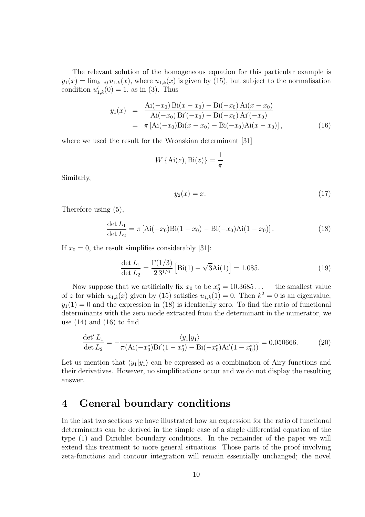The relevant solution of the homogeneous equation for this particular example is  $y_1(x) = \lim_{k\to 0} u_{1,k}(x)$ , where  $u_{1,k}(x)$  is given by (15), but subject to the normalisation condition  $u'_{1,k}(0) = 1$ , as in (3). Thus

$$
y_1(x) = \frac{\text{Ai}(-x_0)\text{Bi}(x-x_0) - \text{Bi}(-x_0)\text{Ai}(x-x_0)}{\text{Ai}(-x_0)\text{Bi}'(-x_0) - \text{Bi}(-x_0)\text{Ai}'(-x_0)}
$$
  
=  $\pi [\text{Ai}(-x_0)\text{Bi}(x-x_0) - \text{Bi}(-x_0)\text{Ai}(x-x_0)],$  (16)

where we used the result for the Wronskian determinant [31]

$$
W\{\operatorname{Ai}(z),\operatorname{Bi}(z)\} = \frac{1}{\pi}.
$$

Similarly,

$$
y_2(x) = x.\tag{17}
$$

Therefore using (5),

$$
\frac{\det L_1}{\det L_2} = \pi \left[ \text{Ai}(-x_0) \text{Bi}(1 - x_0) - \text{Bi}(-x_0) \text{Ai}(1 - x_0) \right]. \tag{18}
$$

If  $x_0 = 0$ , the result simplifies considerably [31]:

$$
\frac{\det L_1}{\det L_2} = \frac{\Gamma(1/3)}{2\,3^{1/6}} \left[ \text{Bi}(1) - \sqrt{3}\text{Ai}(1) \right] = 1.085. \tag{19}
$$

Now suppose that we artificially fix  $x_0$  to be  $x_0^* = 10.3685...$  — the smallest value of z for which  $u_{1,k}(x)$  given by (15) satisfies  $u_{1,k}(1) = 0$ . Then  $k^2 = 0$  is an eigenvalue,  $y_1(1) = 0$  and the expression in (18) is identically zero. To find the ratio of functional determinants with the zero mode extracted from the determinant in the numerator, we use  $(14)$  and  $(16)$  to find

$$
\frac{\det' L_1}{\det L_2} = -\frac{\langle y_1 | y_1 \rangle}{\pi (\text{Ai}(-x_0^*) \text{Bi}'(1 - x_0^*) - \text{Bi}(-x_0^*) \text{Ai}'(1 - x_0^*))} = 0.050666. \tag{20}
$$

Let us mention that  $\langle y_1|y_1\rangle$  can be expressed as a combination of Airy functions and their derivatives. However, no simplifications occur and we do not display the resulting answer.

#### **4 General boundary conditions**

In the last two sections we have illustrated how an expression for the ratio of functional determinants can be derived in the simple case of a single differential equation of the type (1) and Dirichlet boundary conditions. In the remainder of the paper we will extend this treatment to more general situations. Those parts of the proof involving zeta-functions and contour integration will remain essentially unchanged; the novel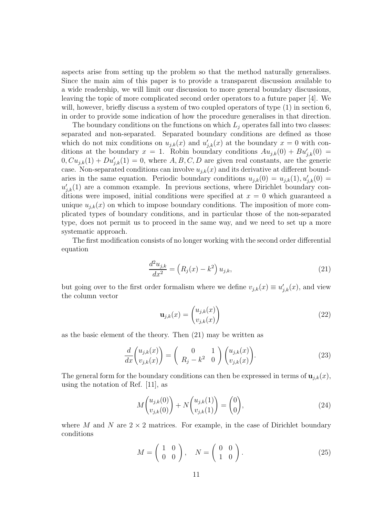aspects arise from setting up the problem so that the method naturally generalises. Since the main aim of this paper is to provide a transparent discussion available to a wide readership, we will limit our discussion to more general boundary discussions, leaving the topic of more complicated second order operators to a future paper [4]. We will, however, briefly discuss a system of two coupled operators of type  $(1)$  in section 6, in order to provide some indication of how the procedure generalises in that direction.

The boundary conditions on the functions on which  $L_i$  operates fall into two classes: separated and non-separated. Separated boundary conditions are defined as those which do not mix conditions on  $u_{j,k}(x)$  and  $u'_{j,k}(x)$  at the boundary  $x = 0$  with conditions at the boundary  $x = 1$ . Robin boundary conditions  $Au_{j,k}(0) + Bu'_{j,k}(0) =$  $0, Cu_{j,k}(1) + Du'_{j,k}(1) = 0$ , where A, B, C, D are given real constants, are the generic case. Non-separated conditions can involve  $u_{j,k}(x)$  and its derivative at different boundaries in the same equation. Periodic boundary conditions  $u_{j,k}(0) = u_{j,k}(1), u'_{j,k}(0) =$  $u'_{i,k}(1)$  are a common example. In previous sections, where Dirichlet boundary conditions were imposed, initial conditions were specified at  $x = 0$  which guaranteed a unique  $u_{i,k}(x)$  on which to impose boundary conditions. The imposition of more complicated types of boundary conditions, and in particular those of the non-separated type, does not permit us to proceed in the same way, and we need to set up a more systematic approach.

The first modification consists of no longer working with the second order differential equation

$$
\frac{d^2u_{j,k}}{dx^2} = (R_j(x) - k^2) u_{j,k},
$$
\n(21)

but going over to the first order formalism where we define  $v_{j,k}(x) \equiv u'_{j,k}(x)$ , and view the column vector

$$
\mathbf{u}_{j,k}(x) = \begin{pmatrix} u_{j,k}(x) \\ v_{j,k}(x) \end{pmatrix}
$$
 (22)

as the basic element of the theory. Then (21) may be written as

$$
\frac{d}{dx}\begin{pmatrix} u_{j,k}(x) \\ v_{j,k}(x) \end{pmatrix} = \begin{pmatrix} 0 & 1 \\ R_j - k^2 & 0 \end{pmatrix} \begin{pmatrix} u_{j,k}(x) \\ v_{j,k}(x) \end{pmatrix}.
$$
\n(23)

The general form for the boundary conditions can then be expressed in terms of  $\mathbf{u}_{j,k}(x)$ , using the notation of Ref. [11], as

$$
M\binom{u_{j,k}(0)}{v_{j,k}(0)} + N\binom{u_{j,k}(1)}{v_{j,k}(1)} = \binom{0}{0},\tag{24}
$$

where M and N are  $2 \times 2$  matrices. For example, in the case of Dirichlet boundary conditions

$$
M = \left(\begin{array}{cc} 1 & 0 \\ 0 & 0 \end{array}\right), \quad N = \left(\begin{array}{cc} 0 & 0 \\ 1 & 0 \end{array}\right). \tag{25}
$$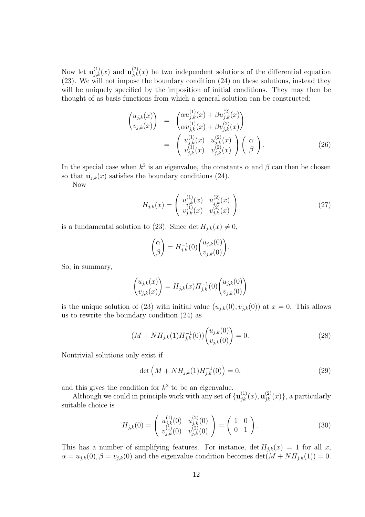Now let  $\mathbf{u}_{i,k}^{(1)}(x)$  and  $\mathbf{u}_{i,k}^{(2)}(x)$  be two independent solutions of the differential equation (23). We will not impose the boundary condition (24) on these solutions, instead they will be uniquely specified by the imposition of initial conditions. They may then be thought of as basis functions from which a general solution can be constructed:

$$
\begin{pmatrix}\nu_{j,k}(x) \\
v_{j,k}(x)\n\end{pmatrix} = \begin{pmatrix}\n\alpha u_{j,k}^{(1)}(x) + \beta u_{j,k}^{(2)}(x) \\
\alpha v_{j,k}^{(1)}(x) + \beta v_{j,k}^{(2)}(x)\n\end{pmatrix} = \begin{pmatrix}\nu_{j,k}^{(1)}(x) & u_{j,k}^{(2)}(x) \\
v_{j,k}^{(1)}(x) & v_{j,k}^{(2)}(x)\n\end{pmatrix} \begin{pmatrix}\n\alpha \\
\beta\n\end{pmatrix}.
$$
\n(26)

In the special case when  $k^2$  is an eigenvalue, the constants  $\alpha$  and  $\beta$  can then be chosen so that  $\mathbf{u}_{j,k}(x)$  satisfies the boundary conditions (24).

Now

$$
H_{j,k}(x) = \begin{pmatrix} u_{j,k}^{(1)}(x) & u_{j,k}^{(2)}(x) \\ v_{j,k}^{(1)}(x) & v_{j,k}^{(2)}(x) \end{pmatrix}
$$
 (27)

is a fundamental solution to (23). Since det  $H_{j,k}(x) \neq 0$ ,

$$
\begin{pmatrix} \alpha \\ \beta \end{pmatrix} = H_{j,k}^{-1}(0) \begin{pmatrix} u_{j,k}(0) \\ v_{j,k}(0) \end{pmatrix}.
$$

So, in summary,

$$
\begin{pmatrix} u_{j,k}(x) \\ v_{j,k}(x) \end{pmatrix} = H_{j,k}(x) H_{j,k}^{-1}(0) \begin{pmatrix} u_{j,k}(0) \\ v_{j,k}(0) \end{pmatrix}
$$

is the unique solution of (23) with initial value  $(u_{j,k}(0), v_{j,k}(0))$  at  $x = 0$ . This allows us to rewrite the boundary condition (24) as

$$
(M + NH_{j,k}(1)H_{j,k}^{-1}(0)) \binom{u_{j,k}(0)}{v_{j,k}(0)} = 0.
$$
\n(28)

Nontrivial solutions only exist if

$$
\det\left(M + NH_{j,k}(1)H_{j,k}^{-1}(0)\right) = 0,\tag{29}
$$

and this gives the condition for  $k^2$  to be an eigenvalue.

Although we could in principle work with any set of  ${\bf u}_{ik}^{(1)}(x), {\bf u}_{ik}^{(2)}(x)$ , a particularly suitable choice is

$$
H_{j,k}(0) = \begin{pmatrix} u_{j,k}^{(1)}(0) & u_{j,k}^{(2)}(0) \\ v_{j,k}^{(1)}(0) & v_{j,k}^{(2)}(0) \end{pmatrix} = \begin{pmatrix} 1 & 0 \\ 0 & 1 \end{pmatrix}.
$$
 (30)

This has a number of simplifying features. For instance,  $\det H_{j,k}(x) = 1$  for all x,  $\alpha = u_{j,k}(0), \beta = v_{j,k}(0)$  and the eigenvalue condition becomes  $\det(M + NH_{j,k}(1)) = 0$ .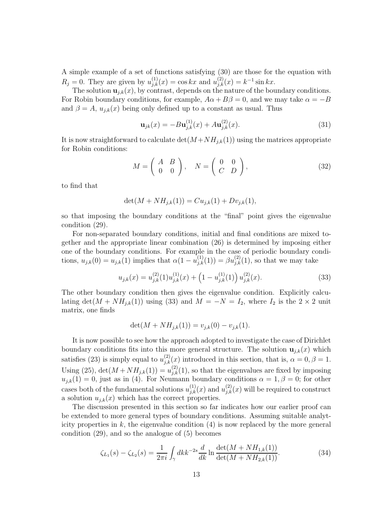A simple example of a set of functions satisfying (30) are those for the equation with  $R_j = 0$ . They are given by  $u_{j,k}^{(1)}(x) = \cos kx$  and  $u_{j,k}^{(2)}(x) = k^{-1} \sin kx$ .

The solution  $\mathbf{u}_{j,k}(x)$ , by contrast, depends on the nature of the boundary conditions. For Robin boundary conditions, for example,  $A\alpha + B\beta = 0$ , and we may take  $\alpha = -B$ and  $\beta = A$ ,  $u_{j,k}(x)$  being only defined up to a constant as usual. Thus

$$
\mathbf{u}_{jk}(x) = -B\mathbf{u}_{j,k}^{(1)}(x) + A\mathbf{u}_{j,k}^{(2)}(x). \tag{31}
$$

It is now straightforward to calculate  $\det(M+NH_{j,k}(1))$  using the matrices appropriate for Robin conditions:

$$
M = \left(\begin{array}{cc} A & B \\ 0 & 0 \end{array}\right), \quad N = \left(\begin{array}{cc} 0 & 0 \\ C & D \end{array}\right), \tag{32}
$$

to find that

$$
\det(M + NH_{j,k}(1)) = Cu_{j,k}(1) + Dv_{j,k}(1),
$$

so that imposing the boundary conditions at the "final" point gives the eigenvalue condition (29).

For non-separated boundary conditions, initial and final conditions are mixed together and the appropriate linear combination (26) is determined by imposing either one of the boundary conditions. For example in the case of periodic boundary conditions,  $u_{j,k}(0) = u_{j,k}(1)$  implies that  $\alpha(1 - u_{j,k}^{(1)}(1)) = \beta u_{j,k}^{(2)}(1)$ , so that we may take

$$
u_{j,k}(x) = u_{j,k}^{(2)}(1)u_{j,k}^{(1)}(x) + \left(1 - u_{j,k}^{(1)}(1)\right)u_{j,k}^{(2)}(x).
$$
\n(33)

The other boundary condition then gives the eigenvalue condition. Explicitly calculating det( $M + NH_{j,k}(1)$ ) using (33) and  $M = -N = I_2$ , where  $I_2$  is the 2 × 2 unit matrix, one finds

$$
\det(M + NH_{j,k}(1)) = v_{j,k}(0) - v_{j,k}(1).
$$

It is now possible to see how the approach adopted to investigate the case of Dirichlet boundary conditions fits into this more general structure. The solution  $\mathbf{u}_{i,k}(x)$  which satisfies (23) is simply equal to  $u_{i,k}^{(2)}(x)$  introduced in this section, that is,  $\alpha = 0, \beta = 1$ . Using (25),  $\det(M + NH_{j,k}(1)) = u_{j,k}^{(2)}(1)$ , so that the eigenvalues are fixed by imposing  $u_{j,k}(1) = 0$ , just as in (4). For Neumann boundary conditions  $\alpha = 1, \beta = 0$ ; for other cases both of the fundamental solutions  $u_{i,k}^{(1)}(x)$  and  $u_{i,k}^{(2)}(x)$  will be required to construct a solution  $u_{j,k}(x)$  which has the correct properties.

The discussion presented in this section so far indicates how our earlier proof can be extended to more general types of boundary conditions. Assuming suitable analyticity properties in  $k$ , the eigenvalue condition  $(4)$  is now replaced by the more general condition (29), and so the analogue of (5) becomes

$$
\zeta_{L_1}(s) - \zeta_{L_2}(s) = \frac{1}{2\pi i} \int_{\gamma} dk k^{-2s} \frac{d}{dk} \ln \frac{\det(M + NH_{1,k}(1))}{\det(M + NH_{2,k}(1))}.
$$
\n(34)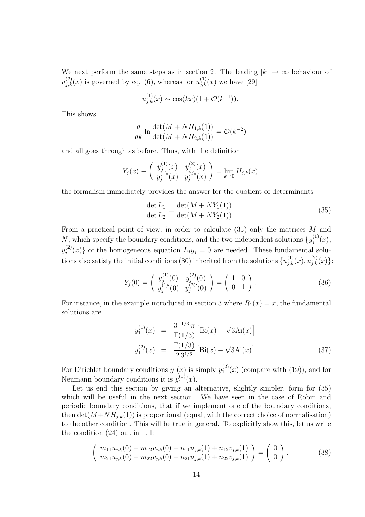We next perform the same steps as in section 2. The leading  $|k| \to \infty$  behaviour of  $u_{i,k}^{(2)}(x)$  is governed by eq. (6), whereas for  $u_{i,k}^{(1)}(x)$  we have [29]

$$
u_{j,k}^{(1)}(x) \sim \cos(kx)(1 + \mathcal{O}(k^{-1})).
$$

This shows

$$
\frac{d}{dk} \ln \frac{\det(M + NH_{1,k}(1))}{\det(M + NH_{2,k}(1))} = \mathcal{O}(k^{-2})
$$

and all goes through as before. Thus, with the definition

$$
Y_j(x) \equiv \begin{pmatrix} y_j^{(1)}(x) & y_j^{(2)}(x) \\ y_j^{(1)'}(x) & y_j^{(2)'}(x) \end{pmatrix} = \lim_{k \to 0} H_{j,k}(x)
$$

the formalism immediately provides the answer for the quotient of determinants

$$
\frac{\det L_1}{\det L_2} = \frac{\det(M + NY_1(1))}{\det(M + NY_2(1))}.
$$
\n(35)

From a practical point of view, in order to calculate (35) only the matrices M and N, which specify the boundary conditions, and the two independent solutions  $\{y_j^{(1)}(x),\}$  $y_j^{(2)}(x)$  of the homogeneous equation  $L_j y_j = 0$  are needed. These fundamental solutions also satisfy the initial conditions (30) inherited from the solutions  $\{u_{i,k}^{(1)}(x), u_{i,k}^{(2)}(x)\}$ :

$$
Y_j(0) = \begin{pmatrix} y_j^{(1)}(0) & y_j^{(2)}(0) \\ y_j^{(1)'}(0) & y_j^{(2)'}(0) \end{pmatrix} = \begin{pmatrix} 1 & 0 \\ 0 & 1 \end{pmatrix}.
$$
 (36)

For instance, in the example introduced in section 3 where  $R_1(x) = x$ , the fundamental solutions are

$$
y_1^{(1)}(x) = \frac{3^{-1/3}\pi}{\Gamma(1/3)} \left[ Bi(x) + \sqrt{3}Ai(x) \right]
$$
  

$$
y_1^{(2)}(x) = \frac{\Gamma(1/3)}{2\,3^{1/6}} \left[ Bi(x) - \sqrt{3}Ai(x) \right].
$$
 (37)

For Dirichlet boundary conditions  $y_1(x)$  is simply  $y_1^{(2)}(x)$  (compare with (19)), and for Neumann boundary conditions it is  $y_1^{(1)}(x)$ .

Let us end this section by giving an alternative, slightly simpler, form for  $(35)$ which will be useful in the next section. We have seen in the case of Robin and periodic boundary conditions, that if we implement one of the boundary conditions, then  $\det(M+NH_{i,k}(1))$  is proportional (equal, with the correct choice of normalisation) to the other condition. This will be true in general. To explicitly show this, let us write the condition (24) out in full:

$$
\begin{pmatrix} m_{11}u_{j,k}(0) + m_{12}v_{j,k}(0) + n_{11}u_{j,k}(1) + n_{12}v_{j,k}(1) \\ m_{21}u_{j,k}(0) + m_{22}v_{j,k}(0) + n_{21}u_{j,k}(1) + n_{22}v_{j,k}(1) \end{pmatrix} = \begin{pmatrix} 0 \\ 0 \end{pmatrix}.
$$
 (38)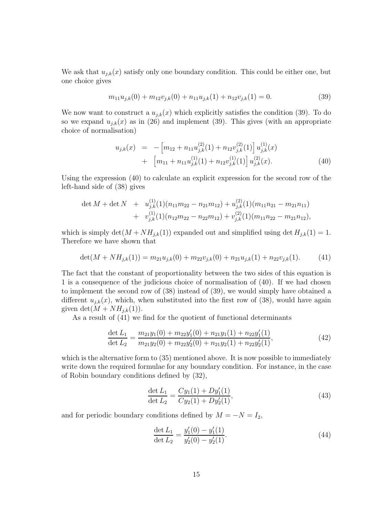We ask that  $u_{j,k}(x)$  satisfy only one boundary condition. This could be either one, but one choice gives

$$
m_{11}u_{j,k}(0) + m_{12}v_{j,k}(0) + n_{11}u_{j,k}(1) + n_{12}v_{j,k}(1) = 0.
$$
\n(39)

We now want to construct a  $u_{j,k}(x)$  which explicitly satisfies the condition (39). To do so we expand  $u_{j,k}(x)$  as in (26) and implement (39). This gives (with an appropriate choice of normalisation)

$$
u_{j,k}(x) = -\left[m_{12} + n_{11}u_{j,k}^{(2)}(1) + n_{12}v_{j,k}^{(2)}(1)\right]u_{j,k}^{(1)}(x) + \left[m_{11} + n_{11}u_{j,k}^{(1)}(1) + n_{12}v_{j,k}^{(1)}(1)\right]u_{j,k}^{(2)}(x).
$$
 (40)

Using the expression (40) to calculate an explicit expression for the second row of the left-hand side of (38) gives

$$
\det M + \det N + u_{j,k}^{(1)}(1)(n_{11}m_{22} - n_{21}m_{12}) + u_{j,k}^{(2)}(1)(m_{11}n_{21} - m_{21}n_{11})
$$
  
+ 
$$
v_{j,k}^{(1)}(1)(n_{12}m_{22} - n_{22}m_{12}) + v_{j,k}^{(2)}(1)(m_{11}n_{22} - m_{21}n_{12}),
$$

which is simply  $\det(M + NH_{j,k}(1))$  expanded out and simplified using  $\det H_{j,k}(1) = 1$ . Therefore we have shown that

$$
\det(M + NH_{j,k}(1)) = m_{21}u_{j,k}(0) + m_{22}v_{j,k}(0) + n_{21}u_{j,k}(1) + n_{22}v_{j,k}(1). \tag{41}
$$

The fact that the constant of proportionality between the two sides of this equation is 1 is a consequence of the judicious choice of normalisation of (40). If we had chosen to implement the second row of (38) instead of (39), we would simply have obtained a different  $u_{i,k}(x)$ , which, when substituted into the first row of (38), would have again given  $\det(M + NH_{j,k}(1)).$ 

As a result of (41) we find for the quotient of functional determinants

$$
\frac{\det L_1}{\det L_2} = \frac{m_{21}y_1(0) + m_{22}y_1'(0) + n_{21}y_1(1) + n_{22}y_1'(1)}{m_{21}y_2(0) + m_{22}y_2'(0) + n_{21}y_2(1) + n_{22}y_2'(1)},
$$
\n(42)

which is the alternative form to  $(35)$  mentioned above. It is now possible to immediately write down the required formulae for any boundary condition. For instance, in the case of Robin boundary conditions defined by (32),

$$
\frac{\det L_1}{\det L_2} = \frac{Cy_1(1) + Dy'_1(1)}{Cy_2(1) + Dy'_2(1)},
$$
\n(43)

and for periodic boundary conditions defined by  $M = -N = I_2$ ,

$$
\frac{\det L_1}{\det L_2} = \frac{y_1'(0) - y_1'(1)}{y_2'(0) - y_2'(1)}.
$$
\n(44)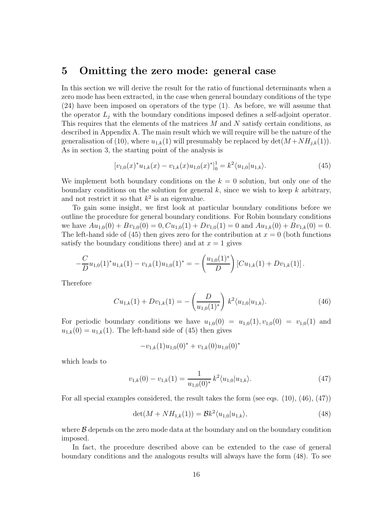#### **5 Omitting the zero mode: general case**

In this section we will derive the result for the ratio of functional determinants when a zero mode has been extracted, in the case when general boundary conditions of the type (24) have been imposed on operators of the type (1). As before, we will assume that the operator  $L_j$  with the boundary conditions imposed defines a self-adjoint operator. This requires that the elements of the matrices M and N satisfy certain conditions, as described in Appendix A. The main result which we will require will be the nature of the generalisation of (10), where  $u_{1,k}(1)$  will presumably be replaced by  $\det(M + NH_{i,k}(1))$ . As in section 3, the starting point of the analysis is

$$
[v_{1,0}(x)^*u_{1,k}(x) - v_{1,k}(x)u_{1,0}(x)^*]_0^1 = k^2 \langle u_{1,0} | u_{1,k} \rangle.
$$
 (45)

We implement both boundary conditions on the  $k = 0$  solution, but only one of the boundary conditions on the solution for general  $k$ , since we wish to keep k arbitrary, and not restrict it so that  $k^2$  is an eigenvalue.

To gain some insight, we first look at particular boundary conditions before we outline the procedure for general boundary conditions. For Robin boundary conditions we have  $Au_{1,0}(0) + Bv_{1,0}(0) = 0$ ,  $Cu_{1,0}(1) + Dv_{1,0}(1) = 0$  and  $Au_{1,k}(0) + Bv_{1,k}(0) = 0$ . The left-hand side of (45) then gives zero for the contribution at  $x = 0$  (both functions satisfy the boundary conditions there) and at  $x = 1$  gives

$$
-\frac{C}{D}u_{1,0}(1)^*u_{1,k}(1)-v_{1,k}(1)u_{1,0}(1)^*=-\left(\frac{u_{1,0}(1)^*}{D}\right)[Cu_{1,k}(1)+Dv_{1,k}(1)].
$$

Therefore

$$
Cu_{1,k}(1) + Dv_{1,k}(1) = -\left(\frac{D}{u_{1,0}(1)^*}\right) k^2 \langle u_{1,0} | u_{1,k} \rangle.
$$
 (46)

For periodic boundary conditions we have  $u_{1,0}(0) = u_{1,0}(1), v_{1,0}(0) = v_{1,0}(1)$  and  $u_{1,k}(0) = u_{1,k}(1)$ . The left-hand side of (45) then gives

$$
-v_{1,k}(1)u_{1,0}(0)^* + v_{1,k}(0)u_{1,0}(0)^*
$$

which leads to

$$
v_{1,k}(0) - v_{1,k}(1) = \frac{1}{u_{1,0}(0)^*} k^2 \langle u_{1,0} | u_{1,k} \rangle.
$$
 (47)

For all special examples considered, the result takes the form (see eqs. (10), (46), (47))

$$
\det(M + NH_{1,k}(1)) = \mathcal{B}k^2 \langle u_{1,0} | u_{1,k} \rangle, \tag{48}
$$

where  $\beta$  depends on the zero mode data at the boundary and on the boundary condition imposed.

In fact, the procedure described above can be extended to the case of general boundary conditions and the analogous results will always have the form (48). To see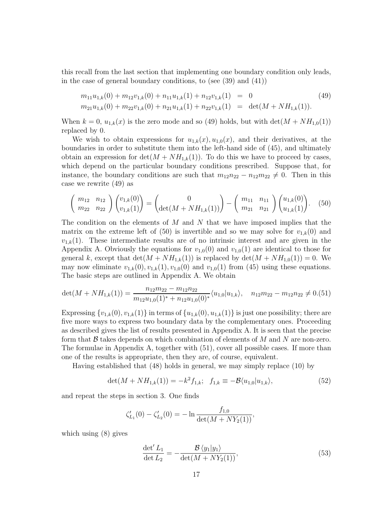this recall from the last section that implementing one boundary condition only leads, in the case of general boundary conditions, to (see (39) and (41))

$$
m_{11}u_{1,k}(0) + m_{12}v_{1,k}(0) + n_{11}u_{1,k}(1) + n_{12}v_{1,k}(1) = 0
$$
\n
$$
m_{21}u_{1,k}(0) + m_{22}v_{1,k}(0) + n_{21}u_{1,k}(1) + n_{22}v_{1,k}(1) = \det(M + NH_{1,k}(1)).
$$
\n(49)

When  $k = 0$ ,  $u_{1,k}(x)$  is the zero mode and so (49) holds, but with  $\det(M + NH_{1,0}(1))$ replaced by 0.

We wish to obtain expressions for  $u_{1,k}(x), u_{1,0}(x)$ , and their derivatives, at the boundaries in order to substitute them into the left-hand side of (45), and ultimately obtain an expression for  $\det(M + NH_{1,k}(1))$ . To do this we have to proceed by cases, which depend on the particular boundary conditions prescribed. Suppose that, for instance, the boundary conditions are such that  $m_{12}n_{22} - n_{12}m_{22} \neq 0$ . Then in this case we rewrite (49) as

$$
\begin{pmatrix} m_{12} & n_{12} \ m_{22} & n_{22} \end{pmatrix} \begin{pmatrix} v_{1,k}(0) \\ v_{1,k}(1) \end{pmatrix} = \begin{pmatrix} 0 \\ \det(M + NH_{1,k}(1)) \end{pmatrix} - \begin{pmatrix} m_{11} & n_{11} \ m_{21} & n_{21} \end{pmatrix} \begin{pmatrix} u_{1,k}(0) \\ u_{1,k}(1) \end{pmatrix}.
$$
 (50)

The condition on the elements of  $M$  and  $N$  that we have imposed implies that the matrix on the extreme left of (50) is invertible and so we may solve for  $v_{1,k}(0)$  and  $v_{1,k}(1)$ . These intermediate results are of no intrinsic interest and are given in the Appendix A. Obviously the equations for  $v_{1,0}(0)$  and  $v_{1,0}(1)$  are identical to those for general k, except that  $\det(M + NH_{1,k}(1))$  is replaced by  $\det(M + NH_{1,0}(1)) = 0$ . We may now eliminate  $v_{1,k}(0), v_{1,k}(1), v_{1,0}(0)$  and  $v_{1,0}(1)$  from (45) using these equations. The basic steps are outlined in Appendix A. We obtain

$$
\det(M + NH_{1,k}(1)) = \frac{n_{12}m_{22} - m_{12}n_{22}}{m_{12}u_{1,0}(1)^{*} + n_{12}u_{1,0}(0)^{*}} \langle u_{1,0}|u_{1,k} \rangle, \quad n_{12}m_{22} - m_{12}n_{22} \neq 0.51
$$

Expressing  $\{v_{1,k}(0), v_{1,k}(1)\}\$  in terms of  $\{u_{1,k}(0), u_{1,k}(1)\}\$  is just one possibility; there are five more ways to express two boundary data by the complementary ones. Proceeding as described gives the list of results presented in Appendix A. It is seen that the precise form that  $\beta$  takes depends on which combination of elements of M and N are non-zero. The formulae in Appendix A, together with (51), cover all possible cases. If more than one of the results is appropriate, then they are, of course, equivalent.

Having established that (48) holds in general, we may simply replace (10) by

$$
\det(M + NH_{1,k}(1)) = -k^2 f_{1,k}; \quad f_{1,k} \equiv -\mathcal{B}\langle u_{1,0} | u_{1,k} \rangle,
$$
\n(52)

and repeat the steps in section 3. One finds

$$
\zeta_{L_1}'(0) - \zeta_{L_2}'(0) = -\ln \frac{f_{1,0}}{\det(M + NY_2(1))},
$$

which using (8) gives

$$
\frac{\det' L_1}{\det L_2} = -\frac{\mathcal{B} \langle y_1 | y_1 \rangle}{\det (M + NY_2(1))},\tag{53}
$$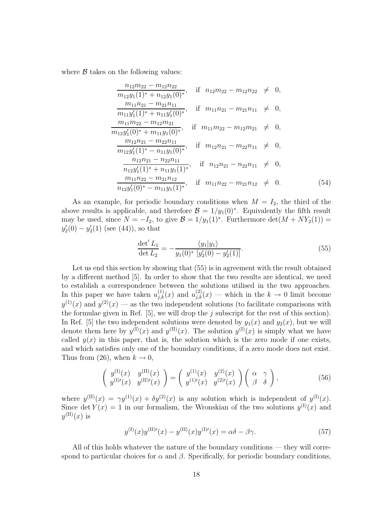where  $\beta$  takes on the following values:

$$
\frac{n_{12}m_{22} - m_{12}n_{22}}{m_{12}y_1(1)^* + n_{12}y_1(0)^*}, \quad \text{if} \quad n_{12}m_{22} - m_{12}n_{22} \neq 0, \n\frac{m_{11}n_{21} - m_{21}n_{11}}{m_{11}y'_1(1)^* + n_{11}y'_1(0)^*}, \quad \text{if} \quad m_{11}n_{21} - m_{21}n_{11} \neq 0, \n\frac{m_{11}m_{22} - m_{12}m_{21}}{m_{12}y'_1(0)^* + m_{11}y_1(0)^*}, \quad \text{if} \quad m_{11}m_{22} - m_{12}m_{21} \neq 0, \n\frac{m_{12}n_{21} - m_{22}n_{11}}{m_{12}y'_1(1)^* - n_{11}y_1(0)^*}, \quad \text{if} \quad m_{12}n_{21} - m_{22}n_{11} \neq 0, \n\frac{n_{12}n_{21} - n_{22}n_{11}}{n_{12}y'_1(1)^* + n_{11}y_1(1)^*}, \quad \text{if} \quad n_{12}n_{21} - n_{22}n_{11} \neq 0, \n\frac{m_{11}n_{22} - m_{21}n_{12}}{n_{12}y'_1(0)^* - m_{11}y_1(1)^*}, \quad \text{if} \quad m_{11}n_{22} - m_{21}n_{12} \neq 0.
$$
\n(54)

As an example, for periodic boundary conditions when  $M = I_2$ , the third of the above results is applicable, and therefore  $\mathcal{B} = 1/y_1(0)^*$ . Equivalently the fifth result may be used, since  $N = -I_2$ , to give  $\mathcal{B} = 1/y_1(1)^*$ . Furthermore  $\det(M + NY_2(1)) =$  $y_2'(0) - y_2'(1)$  (see (44)), so that

$$
\frac{\det' L_1}{\det L_2} = -\frac{\langle y_1 | y_1 \rangle}{y_1(0)^* \ [y_2'(0) - y_2'(1)]}.
$$
\n(55)

Let us end this section by showing that  $(55)$  is in agreement with the result obtained by a different method [5]. In order to show that the two results are identical, we need to establish a correspondence between the solutions utilised in the two approaches. In this paper we have taken  $u_{i,k}^{(1)}(x)$  and  $u_{i,k}^{(2)}(x)$  — which in the  $k \to 0$  limit become  $y^{(1)}(x)$  and  $y^{(2)}(x)$  — as the two independent solutions (to facilitate comparisons with the formulae given in Ref.  $[5]$ , we will drop the j subscript for the rest of this section). In Ref. [5] the two independent solutions were denoted by  $y_1(x)$  and  $y_2(x)$ , but we will denote them here by  $y^{(I)}(x)$  and  $y^{(II)}(x)$ . The solution  $y^{(I)}(x)$  is simply what we have called  $y(x)$  in this paper, that is, the solution which is the zero mode if one exists, and which satisfies only one of the boundary conditions, if a zero mode does not exist. Thus from (26), when  $k \to 0$ ,

$$
\begin{pmatrix} y^{(1)}(x) & y^{(11)}(x) \\ y^{(1)'}(x) & y^{(11)'}(x) \end{pmatrix} = \begin{pmatrix} y^{(1)}(x) & y^{(2)}(x) \\ y^{(1)'}(x) & y^{(2)'}(x) \end{pmatrix} \begin{pmatrix} \alpha & \gamma \\ \beta & \delta \end{pmatrix},
$$
(56)

where  $y^{(II)}(x) = \gamma y^{(1)}(x) + \delta y^{(2)}(x)$  is any solution which is independent of  $y^{(I)}(x)$ . Since det  $Y(x) = 1$  in our formalism, the Wronskian of the two solutions  $y^{(1)}(x)$  and  $y^{(\text{II})}(x)$  is

$$
y^{(I)}(x)y^{(II)'}(x) - y^{(II)}(x)y^{(I)'}(x) = \alpha \delta - \beta \gamma.
$$
 (57)

All of this holds whatever the nature of the boundary conditions — they will correspond to particular choices for  $\alpha$  and  $\beta$ . Specifically, for periodic boundary conditions,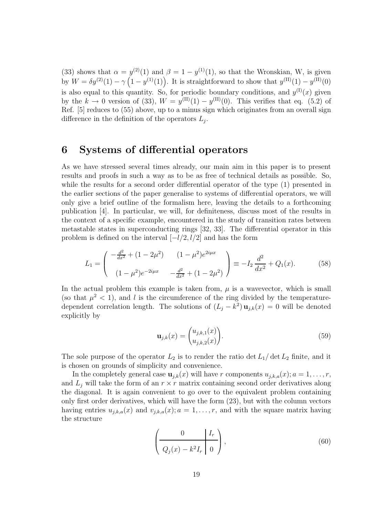(33) shows that  $\alpha = y^{(2)}(1)$  and  $\beta = 1 - y^{(1)}(1)$ , so that the Wronskian, W, is given by  $W = \delta y^{(2)}(1) - \gamma (1 - y^{(1)}(1))$ . It is straightforward to show that  $y^{(II)}(1) - y^{(II)}(0)$ is also equal to this quantity. So, for periodic boundary conditions, and  $y^{(1)}(x)$  given by the  $k \to 0$  version of (33),  $W = y^{(II)}(1) - y^{(II)}(0)$ . This verifies that eq. (5.2) of Ref. [5] reduces to (55) above, up to a minus sign which originates from an overall sign difference in the definition of the operators  $L_i$ .

#### **6 Systems of differential operators**

As we have stressed several times already, our main aim in this paper is to present results and proofs in such a way as to be as free of technical details as possible. So, while the results for a second order differential operator of the type (1) presented in the earlier sections of the paper generalise to systems of differential operators, we will only give a brief outline of the formalism here, leaving the details to a forthcoming publication [4]. In particular, we will, for definiteness, discuss most of the results in the context of a specific example, encountered in the study of transition rates between metastable states in superconducting rings [32, 33]. The differential operator in this problem is defined on the interval  $[-l/2, l/2]$  and has the form

$$
L_1 = \begin{pmatrix} -\frac{d^2}{dx^2} + (1 - 2\mu^2) & (1 - \mu^2)e^{2i\mu x} \\ (1 - \mu^2)e^{-2i\mu x} & -\frac{d^2}{dx^2} + (1 - 2\mu^2) \end{pmatrix} \equiv -I_2 \frac{d^2}{dx^2} + Q_1(x). \tag{58}
$$

In the actual problem this example is taken from,  $\mu$  is a wavevector, which is small (so that  $\mu^2$  < 1), and l is the circumference of the ring divided by the temperaturedependent correlation length. The solutions of  $(L_i - k^2) \mathbf{u}_{i,k}(x) = 0$  will be denoted explicitly by

$$
\mathbf{u}_{j,k}(x) = \begin{pmatrix} u_{j,k,1}(x) \\ u_{j,k,2}(x) \end{pmatrix} . \tag{59}
$$

The sole purpose of the operator  $L_2$  is to render the ratio det  $L_1/\det L_2$  finite, and it is chosen on grounds of simplicity and convenience.

In the completely general case  $\mathbf{u}_{j,k}(x)$  will have r components  $u_{j,k,a}(x); a = 1,\ldots,r$ , and  $L_j$  will take the form of an  $r \times r$  matrix containing second order derivatives along the diagonal. It is again convenient to go over to the equivalent problem containing only first order derivatives, which will have the form (23), but with the column vectors having entries  $u_{j,k,a}(x)$  and  $v_{j,k,a}(x); a = 1, \ldots, r$ , and with the square matrix having the structure

$$
\left(\frac{0}{Q_j(x) - k^2 I_r} \middle| 0\right),\tag{60}
$$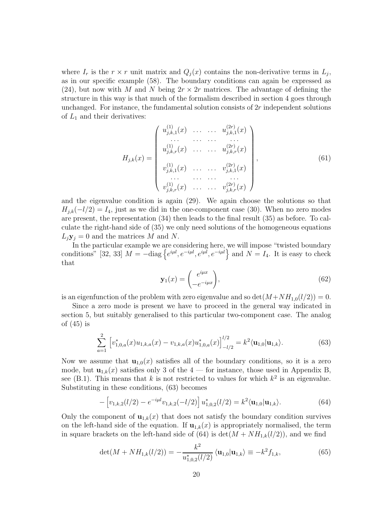where  $I_r$  is the  $r \times r$  unit matrix and  $Q_i(x)$  contains the non-derivative terms in  $L_i$ , as in our specific example (58). The boundary conditions can again be expressed as (24), but now with M and N being  $2r \times 2r$  matrices. The advantage of defining the structure in this way is that much of the formalism described in section 4 goes through unchanged. For instance, the fundamental solution consists of 2r independent solutions of  $L_1$  and their derivatives:

$$
H_{j,k}(x) = \begin{pmatrix} u_{j,k,1}^{(1)}(x) & \dots & \dots & u_{j,k,1}^{(2r)}(x) \\ \dots & \dots & \dots & \dots \\ u_{j,k,r}^{(1)}(x) & \dots & \dots & u_{j,k,r}^{(2r)}(x) \\ v_{j,k,1}^{(1)}(x) & \dots & \dots & v_{j,k,1}^{(2r)}(x) \\ \dots & \dots & \dots & \dots \\ v_{j,k,r}^{(1)}(x) & \dots & \dots & v_{j,k,r}^{(2r)}(x) \end{pmatrix},
$$
(61)

and the eigenvalue condition is again (29). We again choose the solutions so that  $H_{j,k}(-l/2) = I_4$ , just as we did in the one-component case (30). When no zero modes are present, the representation (34) then leads to the final result (35) as before. To calculate the right-hand side of (35) we only need solutions of the homogeneous equations  $L_j$ **y**<sub>j</sub> = 0 and the matrices M and N.

In the particular example we are considering here, we will impose "twisted boundary conditions" [32, 33]  $M = -\text{diag}\left\{e^{i\mu l}, e^{-i\mu l}, e^{i\mu l}, e^{-i\mu l}\right\}$  and  $N = I_4$ . It is easy to check that

$$
\mathbf{y}_1(x) = \begin{pmatrix} e^{i\mu x} \\ -e^{-i\mu x} \end{pmatrix},\tag{62}
$$

is an eigenfunction of the problem with zero eigenvalue and so  $\det(M+NH_{1,0}(l/2))=0$ .

Since a zero mode is present we have to proceed in the general way indicated in section 5, but suitably generalised to this particular two-component case. The analog of (45) is

$$
\sum_{a=1}^{2} \left[ v_{1,0,a}^{*}(x) u_{1,k,a}(x) - v_{1,k,a}(x) u_{1,0,a}^{*}(x) \right]_{-l/2}^{l/2} = k^{2} \langle \mathbf{u}_{1,0} | \mathbf{u}_{1,k} \rangle.
$$
 (63)

Now we assume that  $\mathbf{u}_{1,0}(x)$  satisfies all of the boundary conditions, so it is a zero mode, but  $\mathbf{u}_{1,k}(x)$  satisfies only 3 of the 4 — for instance, those used in Appendix B, see (B.1). This means that k is not restricted to values for which  $k^2$  is an eigenvalue. Substituting in these conditions, (63) becomes

$$
- \left[ v_{1,k,2}(l/2) - e^{-i\mu l} v_{1,k,2}(-l/2) \right] u_{1,0,2}^*(l/2) = k^2 \langle \mathbf{u}_{1,0} | \mathbf{u}_{1,k} \rangle.
$$
 (64)

Only the component of  $\mathbf{u}_{1,k}(x)$  that does not satisfy the boundary condition survives on the left-hand side of the equation. If  $\mathbf{u}_{1,k}(x)$  is appropriately normalised, the term in square brackets on the left-hand side of (64) is  $\det(M + NH_{1,k}(l/2))$ , and we find

$$
\det(M + NH_{1,k}(l/2)) = -\frac{k^2}{u_{1,0,2}^*(l/2)} \langle \mathbf{u}_{1,0} | \mathbf{u}_{1,k} \rangle \equiv -k^2 f_{1,k},\tag{65}
$$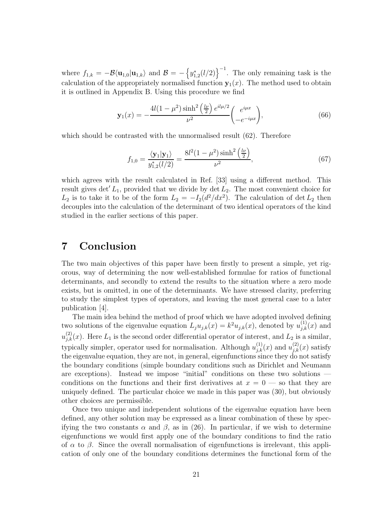where  $f_{1,k} = -\mathcal{B}\langle \mathbf{u}_{1,0} | \mathbf{u}_{1,k} \rangle$  and  $\mathcal{B} = -\left\{y_{1,2}^*(l/2)\right\}^{-1}$ . The only remaining task is the calculation of the appropriately normalised function  $y_1(x)$ . The method used to obtain it is outlined in Appendix B. Using this procedure we find

$$
\mathbf{y}_1(x) = -\frac{4l(1-\mu^2)\sinh^2\left(\frac{l\nu}{2}\right)e^{il\mu/2}}{\nu^2} \begin{pmatrix} e^{i\mu x} \\ -e^{-i\mu x} \end{pmatrix},\tag{66}
$$

which should be contrasted with the unnormalised result  $(62)$ . Therefore

$$
f_{1,0} = \frac{\langle \mathbf{y}_1 | \mathbf{y}_1 \rangle}{y_{1,2}^*(l/2)} = \frac{8l^2(1 - \mu^2)\sinh^2\left(\frac{l\nu}{2}\right)}{\nu^2},\tag{67}
$$

which agrees with the result calculated in Ref. [33] using a different method. This result gives det'  $L_1$ , provided that we divide by det  $L_2$ . The most convenient choice for  $L_2$  is to take it to be of the form  $L_2 = -I_2(d^2/dx^2)$ . The calculation of det  $L_2$  then decouples into the calculation of the determinant of two identical operators of the kind studied in the earlier sections of this paper.

#### **7 Conclusion**

The two main objectives of this paper have been firstly to present a simple, yet rigorous, way of determining the now well-established formulae for ratios of functional determinants, and secondly to extend the results to the situation where a zero mode exists, but is omitted, in one of the determinants. We have stressed clarity, preferring to study the simplest types of operators, and leaving the most general case to a later publication [4].

The main idea behind the method of proof which we have adopted involved defining two solutions of the eigenvalue equation  $L_j u_{j,k}(x) = k^2 u_{j,k}(x)$ , denoted by  $u_{j,k}^{(1)}(x)$  and  $u_{j,k}^{(2)}(x)$ . Here  $L_1$  is the second order differential operator of interest, and  $L_2$  is a similar, typically simpler, operator used for normalisation. Although  $u_{j,k}^{(1)}(x)$  and  $u_{j,k}^{(2)}(x)$  satisfy the eigenvalue equation, they are not, in general, eigenfunctions since they do not satisfy the boundary conditions (simple boundary conditions such as Dirichlet and Neumann are exceptions). Instead we impose "initial" conditions on these two solutions conditions on the functions and their first derivatives at  $x = 0$  — so that they are uniquely defined. The particular choice we made in this paper was (30), but obviously other choices are permissible.

Once two unique and independent solutions of the eigenvalue equation have been defined, any other solution may be expressed as a linear combination of these by specifying the two constants  $\alpha$  and  $\beta$ , as in (26). In particular, if we wish to determine eigenfunctions we would first apply one of the boundary conditions to find the ratio of  $\alpha$  to  $\beta$ . Since the overall normalisation of eigenfunctions is irrelevant, this application of only one of the boundary conditions determines the functional form of the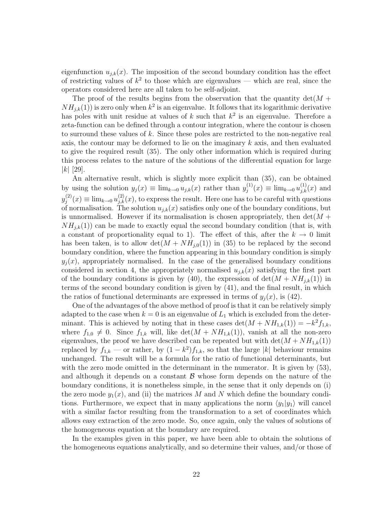eigenfunction  $u_{j,k}(x)$ . The imposition of the second boundary condition has the effect of restricting values of  $k^2$  to those which are eigenvalues — which are real, since the operators considered here are all taken to be self-adjoint.

The proof of the results begins from the observation that the quantity  $\det(M +$  $NH_{i,k}(1)$ ) is zero only when  $k^2$  is an eigenvalue. It follows that its logarithmic derivative has poles with unit residue at values of  $k$  such that  $k^2$  is an eigenvalue. Therefore a zeta-function can be defined through a contour integration, where the contour is chosen to surround these values of k. Since these poles are restricted to the non-negative real axis, the contour may be deformed to lie on the imaginary  $k$  axis, and then evaluated to give the required result (35). The only other information which is required during this process relates to the nature of the solutions of the differential equation for large |k| [29].

An alternative result, which is slightly more explicit than (35), can be obtained by using the solution  $y_j(x) \equiv \lim_{k \to 0} u_{j,k}(x)$  rather than  $y_j^{(1)}(x) \equiv \lim_{k \to 0} u_{j,k}(x)$  and  $y_j^{(2)}(x) \equiv \lim_{k \to 0} u_{j,k}^{(2)}(x)$ , to express the result. Here one has to be careful with questions of normalisation. The solution  $u_{j,k}(x)$  satisfies only one of the boundary conditions, but is unnormalised. However if its normalisation is chosen appropriately, then  $\det(M +$  $NH_{ik}(1)$ ) can be made to exactly equal the second boundary condition (that is, with a constant of proportionality equal to 1). The effect of this, after the  $k \to 0$  limit has been taken, is to allow  $\det(M + NH_{i,0}(1))$  in (35) to be replaced by the second boundary condition, where the function appearing in this boundary condition is simply  $y_i(x)$ , appropriately normalised. In the case of the generalised boundary conditions considered in section 4, the appropriately normalised  $u_{j,k}(x)$  satisfying the first part of the boundary conditions is given by (40), the expression of  $\det(M + NH_{j,k}(1))$  in terms of the second boundary condition is given by (41), and the final result, in which the ratios of functional determinants are expressed in terms of  $y_i(x)$ , is (42).

One of the advantages of the above method of proof is that it can be relatively simply adapted to the case when  $k = 0$  is an eigenvalue of  $L_1$  which is excluded from the determinant. This is achieved by noting that in these cases det( $M + NH_{1,k}(1) = -k^2 f_{1,k}$ , where  $f_{1,0} \neq 0$ . Since  $f_{1,k}$  will, like  $\det(M + NH_{1,k}(1))$ , vanish at all the non-zero eigenvalues, the proof we have described can be repeated but with  $\det(M + NH_{1,k}(1))$ replaced by  $f_{1,k}$  — or rather, by  $(1 - k^2)f_{1,k}$ , so that the large |k| behaviour remains unchanged. The result will be a formula for the ratio of functional determinants, but with the zero mode omitted in the determinant in the numerator. It is given by (53), and although it depends on a constant  $\beta$  whose form depends on the nature of the boundary conditions, it is nonetheless simple, in the sense that it only depends on (i) the zero mode  $y_1(x)$ , and (ii) the matrices M and N which define the boundary conditions. Furthermore, we expect that in many applications the norm  $\langle y_1|y_1\rangle$  will cancel with a similar factor resulting from the transformation to a set of coordinates which allows easy extraction of the zero mode. So, once again, only the values of solutions of the homogeneous equation at the boundary are required.

In the examples given in this paper, we have been able to obtain the solutions of the homogeneous equations analytically, and so determine their values, and/or those of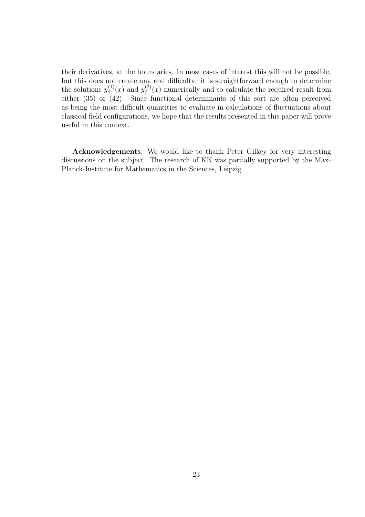their derivatives, at the boundaries. In most cases of interest this will not be possible, but this does not create any real difficulty: it is straightforward enough to determine the solutions  $y_j^{(1)}(x)$  and  $y_j^{(2)}(x)$  numerically and so calculate the required result from either  $(35)$  or  $(42)$ . Since functional determinants of this sort are often perceived as being the most difficult quantities to evaluate in calculations of fluctuations about classical field configurations, we hope that the results presented in this paper will prove useful in this context.

**Acknowledgements**: We would like to thank Peter Gilkey for very interesting discussions on the subject. The research of KK was partially supported by the Max-Planck-Institute for Mathematics in the Sciences, Leipzig.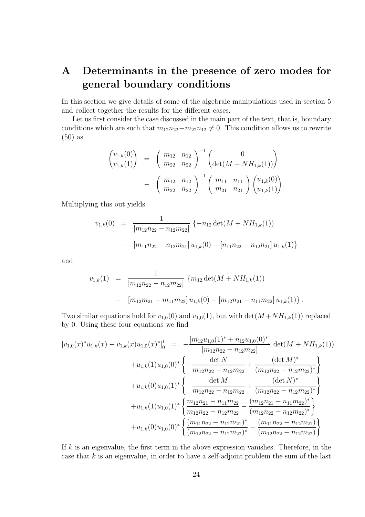## **A Determinants in the presence of zero modes for general boundary conditions**

In this section we give details of some of the algebraic manipulations used in section 5 and collect together the results for the different cases.

Let us first consider the case discussed in the main part of the text, that is, boundary conditions which are such that  $m_{12}n_{22}-m_{22}n_{12} \neq 0$ . This condition allows us to rewrite (50) as

$$
\begin{pmatrix} v_{1,k}(0) \\ v_{1,k}(1) \end{pmatrix} = \begin{pmatrix} m_{12} & n_{12} \\ m_{22} & n_{22} \end{pmatrix}^{-1} \begin{pmatrix} 0 \\ \det(M + NH_{1,k}(1)) \end{pmatrix} - \begin{pmatrix} m_{12} & n_{12} \\ m_{22} & n_{22} \end{pmatrix}^{-1} \begin{pmatrix} m_{11} & n_{11} \\ m_{21} & n_{21} \end{pmatrix} \begin{pmatrix} u_{1,k}(0) \\ u_{1,k}(1) \end{pmatrix}.
$$

Multiplying this out yields

$$
v_{1,k}(0) = \frac{1}{[m_{12}n_{22} - n_{12}m_{22}]} \{-n_{12} \det(M + NH_{1,k}(1))
$$

$$
- [m_{11}n_{22} - n_{12}m_{21}] u_{1,k}(0) - [n_{11}n_{22} - n_{12}n_{21}] u_{1,k}(1)\}
$$

and

$$
v_{1,k}(1) = \frac{1}{[m_{12}n_{22} - n_{12}m_{22}]} \{m_{12} \det(M + NH_{1,k}(1))
$$
  
- 
$$
[m_{12}m_{21} - m_{11}m_{22}] u_{1,k}(0) - [m_{12}n_{21} - n_{11}m_{22}] u_{1,k}(1) \}.
$$

Two similar equations hold for  $v_{1,0}(0)$  and  $v_{1,0}(1)$ , but with  $\det(M + NH_{1,k}(1))$  replaced by 0. Using these four equations we find

$$
[v_{1,0}(x)^*u_{1,k}(x) - v_{1,k}(x)u_{1,0}(x)^*]_0^1 = -\frac{[m_{12}u_{1,0}(1)^* + n_{12}u_{1,0}(0)^*]}{[m_{12}n_{22} - n_{12}m_{22}]} \det(M + NH_{1,k}(1))
$$
  
+  $u_{1,k}(1)u_{1,0}(0)^* \left\{ -\frac{\det N}{m_{12}n_{22} - n_{12}m_{22}} + \frac{(\det M)^*}{(m_{12}n_{22} - n_{12}m_{22})^*} \right\}$   
+  $u_{1,k}(0)u_{1,0}(1)^* \left\{ -\frac{\det M}{m_{12}n_{22} - n_{12}m_{22}} + \frac{(\det N)^*}{(m_{12}n_{22} - n_{12}m_{22})^*} \right\}$   
+  $u_{1,k}(1)u_{1,0}(1)^* \left\{ \frac{m_{12}n_{21} - n_{11}m_{22}}{m_{12}n_{22} - n_{12}m_{22}} - \frac{(m_{12}n_{21} - n_{11}m_{22})^*}{(m_{12}n_{22} - n_{12}m_{22})^*} \right\}$   
+  $u_{1,k}(0)u_{1,0}(0)^* \left\{ \frac{(m_{11}n_{22} - n_{12}m_{21})^*}{(m_{12}n_{22} - n_{12}m_{22})^*} - \frac{(m_{11}n_{22} - n_{12}m_{21})^*}{(m_{12}n_{22} - n_{12}m_{22})} \right\}$ 

If  $k$  is an eigenvalue, the first term in the above expression vanishes. Therefore, in the case that  $k$  is an eigenvalue, in order to have a self-adjoint problem the sum of the last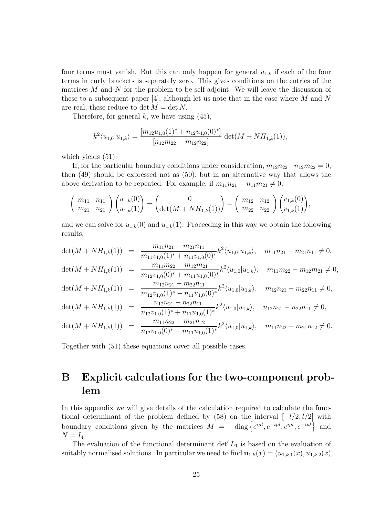four terms must vanish. But this can only happen for general  $u_{1,k}$  if each of the four terms in curly brackets is separately zero. This gives conditions on the entries of the matrices  $M$  and  $N$  for the problem to be self-adjoint. We will leave the discussion of these to a subsequent paper [4], although let us note that in the case where  $M$  and  $N$ are real, these reduce to det  $M = \det N$ .

Therefore, for general  $k$ , we have using  $(45)$ ,

$$
k^{2} \langle u_{1,0} | u_{1,k} \rangle = \frac{[m_{12}u_{1,0}(1)^{*} + n_{12}u_{1,0}(0)^{*}]}{[n_{12}m_{22} - m_{12}n_{22}]} \det(M + NH_{1,k}(1)),
$$

which yields  $(51)$ .

If, for the particular boundary conditions under consideration,  $m_{12}n_{22}-n_{12}m_{22}=0$ , then (49) should be expressed not as (50), but in an alternative way that allows the above derivation to be repeated. For example, if  $m_{11}n_{21} - n_{11}m_{21} \neq 0$ ,

$$
\begin{pmatrix} m_{11} & n_{11} \ m_{21} & n_{21} \end{pmatrix} \begin{pmatrix} u_{1,k}(0) \\ u_{1,k}(1) \end{pmatrix} = \begin{pmatrix} 0 \\ \det(M + NH_{1,k}(1)) \end{pmatrix} - \begin{pmatrix} m_{12} & n_{12} \ m_{22} & n_{22} \end{pmatrix} \begin{pmatrix} v_{1,k}(0) \\ v_{1,k}(1) \end{pmatrix},
$$

and we can solve for  $u_{1,k}(0)$  and  $u_{1,k}(1)$ . Proceeding in this way we obtain the following results:

$$
\det(M + NH_{1,k}(1)) = \frac{m_{11}n_{21} - m_{21}n_{11}}{m_{11}v_{1,0}(1)^* + n_{11}v_{1,0}(0)^*} k^2 \langle u_{1,0} | u_{1,k} \rangle, \quad m_{11}n_{21} - m_{21}n_{11} \neq 0,
$$
  
\n
$$
\det(M + NH_{1,k}(1)) = \frac{m_{11}m_{22} - m_{12}m_{21}}{m_{12}v_{1,0}(0)^* + m_{11}u_{1,0}(0)^*} k^2 \langle u_{1,0} | u_{1,k} \rangle, \quad m_{11}m_{22} - m_{12}m_{21} \neq 0,
$$
  
\n
$$
\det(M + NH_{1,k}(1)) = \frac{m_{12}n_{21} - m_{22}n_{11}}{m_{12}v_{1,0}(1)^* - n_{11}u_{1,0}(0)^*} k^2 \langle u_{1,0} | u_{1,k} \rangle, \quad m_{12}n_{21} - m_{22}n_{11} \neq 0,
$$
  
\n
$$
\det(M + NH_{1,k}(1)) = \frac{n_{12}n_{21} - n_{22}n_{11}}{n_{12}v_{1,0}(1)^* + n_{11}u_{1,0}(1)^*} k^2 \langle u_{1,0} | u_{1,k} \rangle, \quad n_{12}n_{21} - n_{22}n_{11} \neq 0,
$$
  
\n
$$
\det(M + NH_{1,k}(1)) = \frac{m_{11}n_{22} - m_{21}n_{12}}{n_{12}v_{1,0}(0)^* - m_{11}u_{1,0}(1)^*} k^2 \langle u_{1,0} | u_{1,k} \rangle, \quad m_{11}n_{22} - m_{21}n_{12} \neq 0.
$$

Together with (51) these equations cover all possible cases.

### **B Explicit calculations for the two-component problem**

In this appendix we will give details of the calculation required to calculate the functional determinant of the problem defined by (58) on the interval  $[-l/2, l/2]$  with boundary conditions given by the matrices  $M = -\text{diag}\left\{e^{i\mu l}, e^{-i\mu l}, e^{i\mu l}, e^{-i\mu l}\right\}$  and  $N = I_4$ .

The evaluation of the functional determinant  $\det' L_1$  is based on the evaluation of suitably normalised solutions. In particular we need to find  $\mathbf{u}_{1,k}(x)=(u_{1,k,1}(x), u_{1,k,2}(x))$ ,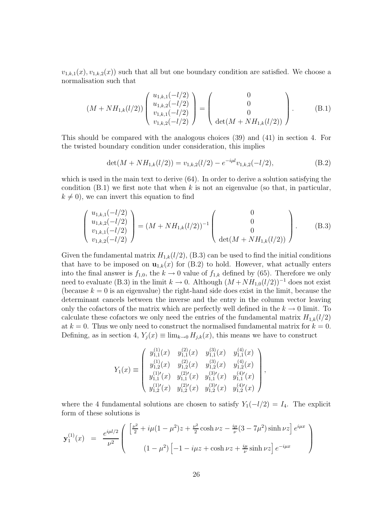$v_{1,k,1}(x), v_{1,k,2}(x)$  such that all but one boundary condition are satisfied. We choose a normalisation such that

$$
(M + NH_{1,k}(l/2)) \begin{pmatrix} u_{1,k,1}(-l/2) \\ u_{1,k,2}(-l/2) \\ v_{1,k,1}(-l/2) \\ v_{1,k,2}(-l/2) \end{pmatrix} = \begin{pmatrix} 0 \\ 0 \\ 0 \\ \det(M + NH_{1,k}(l/2)) \end{pmatrix}.
$$
 (B.1)

This should be compared with the analogous choices (39) and (41) in section 4. For the twisted boundary condition under consideration, this implies

$$
\det(M + NH_{1,k}(l/2)) = v_{1,k,2}(l/2) - e^{-i\mu l}v_{1,k,2}(-l/2),\tag{B.2}
$$

which is used in the main text to derive (64). In order to derive a solution satisfying the condition  $(B.1)$  we first note that when k is not an eigenvalue (so that, in particular,  $k \neq 0$ , we can invert this equation to find

$$
\begin{pmatrix} u_{1,k,1}(-l/2) \\ u_{1,k,2}(-l/2) \\ v_{1,k,1}(-l/2) \\ v_{1,k,2}(-l/2) \end{pmatrix} = (M + NH_{1,k}(l/2))^{-1} \begin{pmatrix} 0 \\ 0 \\ 0 \\ \det(M + NH_{1,k}(l/2)) \end{pmatrix}.
$$
 (B.3)

Given the fundamental matrix  $H_{1,k}(l/2)$ , (B.3) can be used to find the initial conditions that have to be imposed on  $\mathbf{u}_{1,k}(x)$  for (B.2) to hold. However, what actually enters into the final answer is  $f_{1,0}$ , the  $k \to 0$  value of  $f_{1,k}$  defined by (65). Therefore we only need to evaluate (B.3) in the limit  $k \to 0$ . Although  $(M + NH_{1,0}(l/2))^{-1}$  does not exist (because  $k = 0$  is an eigenvalue) the right-hand side does exist in the limit, because the determinant cancels between the inverse and the entry in the column vector leaving only the cofactors of the matrix which are perfectly well defined in the  $k \to 0$  limit. To calculate these cofactors we only need the entries of the fundamental matrix  $H_{1,k}(l/2)$ at  $k = 0$ . Thus we only need to construct the normalised fundamental matrix for  $k = 0$ . Defining, as in section 4,  $Y_i(x) \equiv \lim_{k \to 0} H_{i,k}(x)$ , this means we have to construct

$$
Y_1(x) \equiv \begin{pmatrix} y_{1,1}^{(1)}(x) & y_{1,1}^{(2)}(x) & y_{1,1}^{(3)}(x) & y_{1,1}^{(4)}(x) \\ y_{1,2}^{(1)}(x) & y_{1,2}^{(2)}(x) & y_{1,2}^{(3)}(x) & y_{1,2}^{(4)}(x) \\ y_{1,1}^{(1)'}(x) & y_{1,1}^{(2)'}(x) & y_{1,1}^{(3)'}(x) & y_{1,1}^{(4)'}(x) \\ y_{1,2}^{(1)'}(x) & y_{1,2}^{(2)'}(x) & y_{1,2}^{(3)'}(x) & y_{1,2}^{(4)'}(x) \end{pmatrix},
$$

where the 4 fundamental solutions are chosen to satisfy  $Y_1(-l/2) = I_4$ . The explicit form of these solutions is

$$
\mathbf{y}_{1}^{(1)}(x) = \frac{e^{i\mu l/2}}{\nu^{2}} \left( \begin{array}{c} \left[ \frac{\nu^{2}}{2} + i\mu (1-\mu^{2})z + \frac{\nu^{2}}{2}\cosh \nu z - \frac{i\mu}{\nu}(3-7\mu^{2})\sinh \nu z \right] e^{i\mu x} \\ (1-\mu^{2}) \left[ -1 - i\mu z + \cosh \nu z + \frac{i\mu}{\nu}\sinh \nu z \right] e^{-i\mu x} \end{array} \right)
$$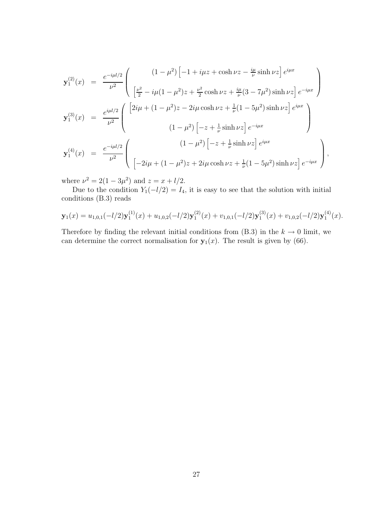$$
\mathbf{y}_{1}^{(2)}(x) = \frac{e^{-i\mu l/2}}{\nu^{2}} \begin{pmatrix} (1-\mu^{2}) \left[ -1 + i\mu z + \cosh \nu z - \frac{i\mu}{\nu} \sinh \nu z \right] e^{i\mu x} \\ \left[ \frac{\nu^{2}}{2} - i\mu (1 - \mu^{2}) z + \frac{\nu^{2}}{2} \cosh \nu z + \frac{i\mu}{\nu} (3 - 7\mu^{2}) \sinh \nu z \right] e^{-i\mu x} \end{pmatrix}
$$

$$
\mathbf{y}_{1}^{(3)}(x) = \frac{e^{i\mu l/2}}{\nu^{2}} \begin{pmatrix} \left[ 2i\mu + (1 - \mu^{2}) z - 2i\mu \cosh \nu z + \frac{1}{\nu} (1 - 5\mu^{2}) \sinh \nu z \right] e^{i\mu x} \\ (1 - \mu^{2}) \left[ -z + \frac{1}{\nu} \sinh \nu z \right] e^{-i\mu x} \end{pmatrix}
$$

$$
\mathbf{y}_{1}^{(4)}(x) = \frac{e^{-i\mu l/2}}{\nu^{2}} \begin{pmatrix} (1 - \mu^{2}) \left[ -z + \frac{1}{\nu} \sinh \nu z \right] e^{i\mu x} \\ \left[ -2i\mu + (1 - \mu^{2}) z + 2i\mu \cosh \nu z + \frac{1}{\nu} (1 - 5\mu^{2}) \sinh \nu z \right] e^{-i\mu x} \end{pmatrix},
$$

where  $\nu^2 = 2(1 - 3\mu^2)$  and  $z = x + l/2$ .

Due to the condition  $Y_1(-l/2) = I_4$ , it is easy to see that the solution with initial conditions (B.3) reads

$$
\mathbf{y}_1(x) = u_{1,0,1}(-l/2)\mathbf{y}_1^{(1)}(x) + u_{1,0,2}(-l/2)\mathbf{y}_1^{(2)}(x) + v_{1,0,1}(-l/2)\mathbf{y}_1^{(3)}(x) + v_{1,0,2}(-l/2)\mathbf{y}_1^{(4)}(x).
$$

Therefore by finding the relevant initial conditions from  $(B.3)$  in the  $k \to 0$  limit, we can determine the correct normalisation for  $y_1(x)$ . The result is given by (66).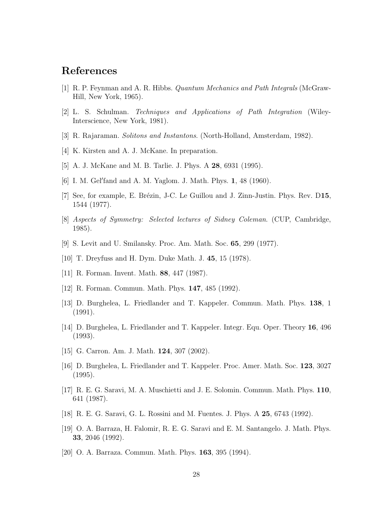#### **References**

- [1] R. P. Feynman and A. R. Hibbs. *Quantum Mechanics and Path Integrals* (McGraw-Hill, New York, 1965).
- [2] L. S. Schulman. *Techniques and Applications of Path Integration* (Wiley-Interscience, New York, 1981).
- [3] R. Rajaraman. *Solitons and Instantons*. (North-Holland, Amsterdam, 1982).
- [4] K. Kirsten and A. J. McKane. In preparation.
- [5] A. J. McKane and M. B. Tarlie. J. Phys. A **28**, 6931 (1995).
- [6] I. M. Gel fand and A. M. Yaglom. J. Math. Phys. **1**, 48 (1960).
- [7] See, for example, E. Brézin, J-C. Le Guillou and J. Zinn-Justin. Phys. Rev. D15, 1544 (1977).
- [8] *Aspects of Symmetry: Selected lectures of Sidney Coleman*. (CUP, Cambridge, 1985).
- [9] S. Levit and U. Smilansky. Proc. Am. Math. Soc. **65**, 299 (1977).
- [10] T. Dreyfuss and H. Dym. Duke Math. J. **45**, 15 (1978).
- [11] R. Forman. Invent. Math. **88**, 447 (1987).
- [12] R. Forman. Commun. Math. Phys. **147**, 485 (1992).
- [13] D. Burghelea, L. Friedlander and T. Kappeler. Commun. Math. Phys. **138**, 1 (1991).
- [14] D. Burghelea, L. Friedlander and T. Kappeler. Integr. Equ. Oper. Theory **16**, 496 (1993).
- [15] G. Carron. Am. J. Math. **124**, 307 (2002).
- [16] D. Burghelea, L. Friedlander and T. Kappeler. Proc. Amer. Math. Soc. **123**, 3027 (1995).
- [17] R. E. G. Saravi, M. A. Muschietti and J. E. Solomin. Commun. Math. Phys. **110**, 641 (1987).
- [18] R. E. G. Saravi, G. L. Rossini and M. Fuentes. J. Phys. A **25**, 6743 (1992).
- [19] O. A. Barraza, H. Falomir, R. E. G. Saravi and E. M. Santangelo. J. Math. Phys. **33**, 2046 (1992).
- [20] O. A. Barraza. Commun. Math. Phys. **163**, 395 (1994).